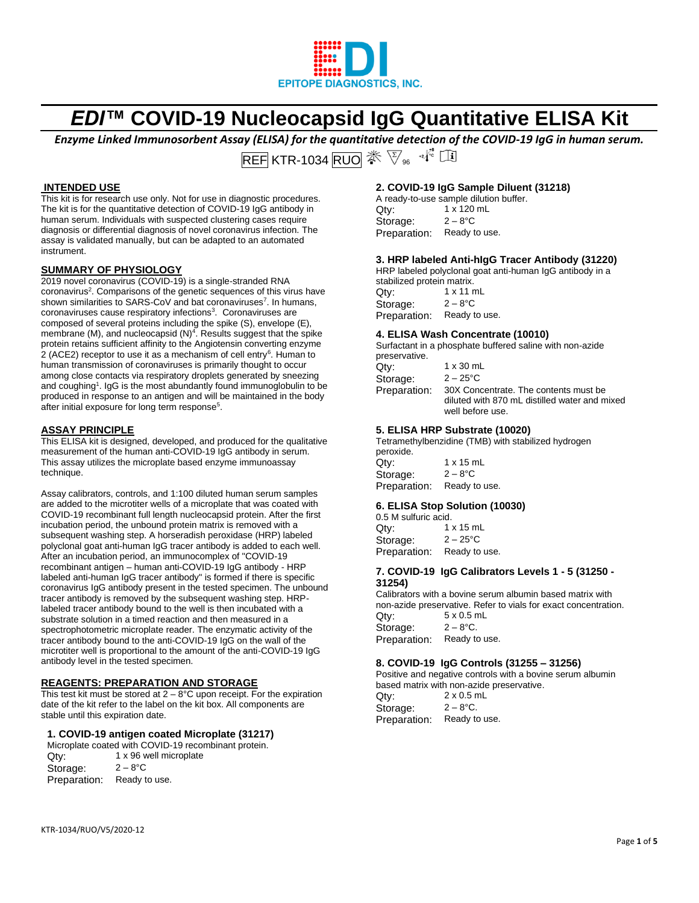

# *EDI™* **COVID-19 Nucleocapsid IgG Quantitative ELISA Kit**

*Enzyme Linked Immunosorbent Assay (ELISA) for the quantitative detection of the COVID-19 IgG in human serum.*

REF KTR-1034 RUO  $\mathscr{F} \otimes_{\mathscr{C}} \mathscr{F}$ 

# **INTENDED USE**

This kit is for research use only. Not for use in diagnostic procedures. The kit is for the quantitative detection of COVID-19 IgG antibody in human serum. Individuals with suspected clustering cases require diagnosis or differential diagnosis of novel coronavirus infection. The assay is validated manually, but can be adapted to an automated instrument.

## **SUMMARY OF PHYSIOLOGY**

2019 novel coronavirus (COVID-19) is a single-stranded RNA coronavirus<sup>2</sup>. Comparisons of the genetic sequences of this virus have shown similarities to SARS-CoV and bat coronaviruses<sup>7</sup>. In humans, coronaviruses cause respiratory infections<sup>3</sup>. Coronaviruses are composed of several proteins including the spike (S), envelope (E), membrane (M), and nucleocapsid  $(N)^4$ . Results suggest that the spike protein retains sufficient affinity to the Angiotensin converting enzyme 2 (ACE2) receptor to use it as a mechanism of cell entry<sup>6</sup>. Human to human transmission of coronaviruses is primarily thought to occur among close contacts via respiratory droplets generated by sneezing and coughing<sup>1</sup>. IgG is the most abundantly found immunoglobulin to be produced in response to an antigen and will be maintained in the body after initial exposure for long term response<sup>5</sup>.

## **ASSAY PRINCIPLE**

This ELISA kit is designed, developed, and produced for the qualitative measurement of the human anti-COVID-19 IgG antibody in serum. This assay utilizes the microplate based enzyme immunoassay technique.

Assay calibrators, controls, and 1:100 diluted human serum samples are added to the microtiter wells of a microplate that was coated with COVID-19 recombinant full length nucleocapsid protein. After the first incubation period, the unbound protein matrix is removed with a subsequent washing step. A horseradish peroxidase (HRP) labeled polyclonal goat anti-human IgG tracer antibody is added to each well. After an incubation period, an immunocomplex of "COVID-19 recombinant antigen – human anti-COVID-19 IgG antibody - HRP labeled anti-human IgG tracer antibody" is formed if there is specific coronavirus IgG antibody present in the tested specimen. The unbound tracer antibody is removed by the subsequent washing step. HRPlabeled tracer antibody bound to the well is then incubated with a substrate solution in a timed reaction and then measured in a spectrophotometric microplate reader. The enzymatic activity of the tracer antibody bound to the anti-COVID-19 IgG on the wall of the microtiter well is proportional to the amount of the anti-COVID-19 IgG antibody level in the tested specimen.

## **REAGENTS: PREPARATION AND STORAGE**

This test kit must be stored at  $2 - 8$ °C upon receipt. For the expiration date of the kit refer to the label on the kit box. All components are stable until this expiration date.

## **1. COVID-19 antigen coated Microplate (31217)**

|              | Microplate coated with COVID-19 recombinant protein. |
|--------------|------------------------------------------------------|
| Qtv:         | 1 x 96 well microplate                               |
| Storage:     | $2 - 8^{\circ}$ C                                    |
| Preparation: | Ready to use.                                        |

# **2. COVID-19 IgG Sample Diluent (31218)**

|              | A ready-to-use sample dilution buffer. |
|--------------|----------------------------------------|
| Qtv:         | 1 x 120 mL                             |
| Storage:     | $2 - 8$ °C                             |
| Preparation: | Ready to use.                          |

# **3. HRP labeled Anti-hIgG Tracer Antibody (31220)**

HRP labeled polyclonal goat anti-human IgG antibody in a stabilized protein matrix. Qty: 1 x 11 mL

Storage:  $2 - 8$ <sup>°</sup>C Preparation: Ready to use.

## **4. ELISA Wash Concentrate (10010)**

Surfactant in a phosphate buffered saline with non-azide preservative.

| Qtv:         | $1 \times 30$ mL                                                                                           |
|--------------|------------------------------------------------------------------------------------------------------------|
| Storage:     | $2 - 25^{\circ}$ C                                                                                         |
| Preparation: | 30X Concentrate. The contents must be<br>diluted with 870 mL distilled water and mixed<br>well before use. |

## **5. ELISA HRP Substrate (10020)**

Tetramethylbenzidine (TMB) with stabilized hydrogen peroxide. Qty: 1 x 15 mL

Storage:  $2 - 8$ °C Preparation: Ready to use.

## **6. ELISA Stop Solution (10030)**

0.5 M sulfuric acid.  $Qty:$  1 x 15 mL<br>Storage:  $2-25^{\circ}C$ Storage:  $2 - 25^{\circ}$ C<br>Preparation: Ready to use. Preparation:

#### **7. COVID-19 IgG Calibrators Levels 1 - 5 (31250 - 31254)**

Calibrators with a bovine serum albumin based matrix with non-azide preservative. Refer to vials for exact concentration.

 $Qty: 5 \times 0.5 \text{ mL}$ <br>Storage:  $2 - 8^{\circ}C.$ Storage: Preparation: Ready to use.

## **8. COVID-19 IgG Controls (31255 – 31256)**

Positive and negative controls with a bovine serum albumin based matrix with non-azide preservative.

| Qty:         | $2 \times 0.5$ mL |
|--------------|-------------------|
| Storage:     | $2 - 8$ °C.       |
| Preparation: | Ready to use.     |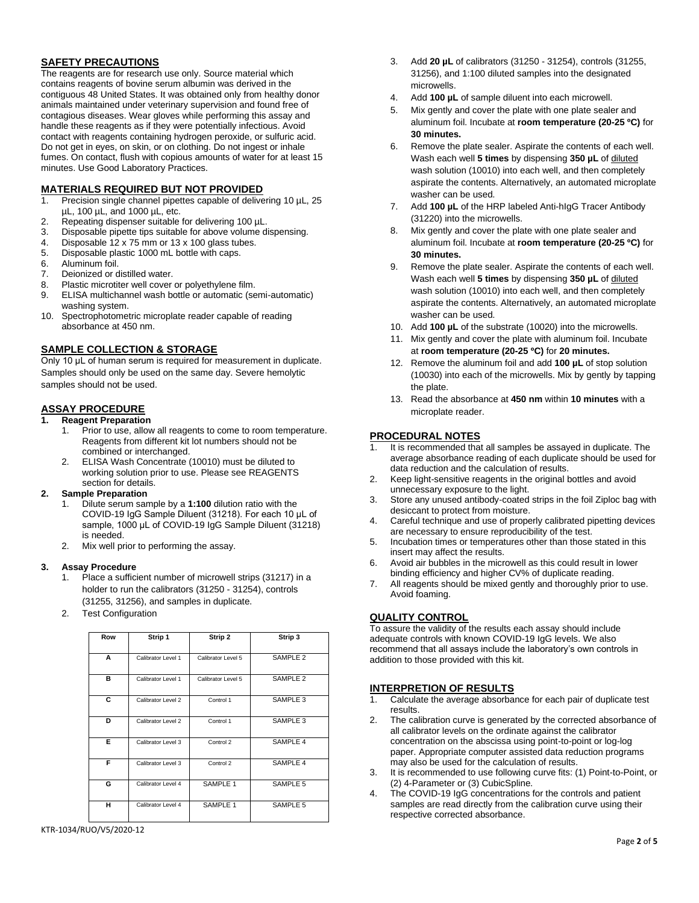# **SAFETY PRECAUTIONS**

The reagents are for research use only. Source material which contains reagents of bovine serum albumin was derived in the contiguous 48 United States. It was obtained only from healthy donor animals maintained under veterinary supervision and found free of contagious diseases. Wear gloves while performing this assay and handle these reagents as if they were potentially infectious. Avoid contact with reagents containing hydrogen peroxide, or sulfuric acid. Do not get in eyes, on skin, or on clothing. Do not ingest or inhale fumes. On contact, flush with copious amounts of water for at least 15 minutes. Use Good Laboratory Practices.

## **MATERIALS REQUIRED BUT NOT PROVIDED**

- 1. Precision single channel pipettes capable of delivering 10 µL, 25 µL, 100 µL, and 1000 µL, etc.
- 
- 2. Repeating dispenser suitable for delivering 100 µL.<br>3. Disposable pipette tips suitable for above volume d Disposable pipette tips suitable for above volume dispensing.
- 4. Disposable 12 x 75 mm or 13 x 100 glass tubes.
- 5. Disposable plastic 1000 mL bottle with caps.
- 6. Aluminum foil.<br>7 Deionized or c
- Deionized or distilled water.
- 8. Plastic microtiter well cover or polyethylene film.
- 9. ELISA multichannel wash bottle or automatic (semi-automatic) washing system.
- 10. Spectrophotometric microplate reader capable of reading absorbance at 450 nm.

## **SAMPLE COLLECTION & STORAGE**

Only 10 μL of human serum is required for measurement in duplicate. Samples should only be used on the same day. Severe hemolytic samples should not be used.

## **ASSAY PROCEDURE**

#### **1. Reagent Preparation**

- 1. Prior to use, allow all reagents to come to room temperature. Reagents from different kit lot numbers should not be combined or interchanged.
- 2. ELISA Wash Concentrate (10010) must be diluted to working solution prior to use. Please see REAGENTS section for details.

## **2. Sample Preparation**

- 1. Dilute serum sample by a **1:100** dilution ratio with the COVID-19 IgG Sample Diluent (31218). For each 10 μL of sample, 1000 μL of COVID-19 IgG Sample Diluent (31218) is needed.
- 2. Mix well prior to performing the assay.

## **3. Assay Procedure**

- 1. Place a sufficient number of microwell strips (31217) in a holder to run the calibrators (31250 - 31254), controls (31255, 31256), and samples in duplicate.
- 2. Test Configuration

| Row | Strip 1            | Strip 2            | Strip 3             |
|-----|--------------------|--------------------|---------------------|
|     |                    |                    |                     |
| A   | Calibrator Level 1 | Calibrator Level 5 | SAMPLE <sub>2</sub> |
| в   | Calibrator Level 1 | Calibrator Level 5 | SAMPLE <sub>2</sub> |
| C   | Calibrator Level 2 | Control 1          | SAMPLE 3            |
| D   | Calibrator Level 2 | Control 1          | SAMPLE 3            |
| Е   | Calibrator Level 3 | Control 2          | SAMPLE 4            |
| F   | Calibrator Level 3 | Control 2          | SAMPLE 4            |
| G   | Calibrator Level 4 | SAMPLE 1           | SAMPLE 5            |
| н   | Calibrator Level 4 | SAMPLE 1           | SAMPLE 5            |

- 3. Add **20 µL** of calibrators (31250 31254), controls (31255, 31256), and 1:100 diluted samples into the designated microwells.
- 4. Add **100 µL** of sample diluent into each microwell.
- 5. Mix gently and cover the plate with one plate sealer and aluminum foil. Incubate at **room temperature (20-25 ºC)** for **30 minutes.**
- 6. Remove the plate sealer. Aspirate the contents of each well. Wash each well **5 times** by dispensing **350 µL** of diluted wash solution (10010) into each well, and then completely aspirate the contents. Alternatively, an automated microplate washer can be used.
- 7. Add **100 µL** of the HRP labeled Anti-hIgG Tracer Antibody (31220) into the microwells.
- 8. Mix gently and cover the plate with one plate sealer and aluminum foil. Incubate at **room temperature (20-25 ºC)** for **30 minutes.**
- 9. Remove the plate sealer. Aspirate the contents of each well. Wash each well **5 times** by dispensing **350 µL** of diluted wash solution (10010) into each well, and then completely aspirate the contents. Alternatively, an automated microplate washer can be used.
- 10. Add **100 µL** of the substrate (10020) into the microwells.
- 11. Mix gently and cover the plate with aluminum foil. Incubate at **room temperature (20-25 ºC)** for **20 minutes.**
- 12. Remove the aluminum foil and add **100 µL** of stop solution (10030) into each of the microwells. Mix by gently by tapping the plate.
- 13. Read the absorbance at **450 nm** within **10 minutes** with a microplate reader.

## **PROCEDURAL NOTES**

- 1. It is recommended that all samples be assayed in duplicate. The average absorbance reading of each duplicate should be used for data reduction and the calculation of results.
- 2. Keep light-sensitive reagents in the original bottles and avoid unnecessary exposure to the light.
- 3. Store any unused antibody-coated strips in the foil Ziploc bag with desiccant to protect from moisture.
- 4. Careful technique and use of properly calibrated pipetting devices are necessary to ensure reproducibility of the test.
- 5. Incubation times or temperatures other than those stated in this insert may affect the results.
- 6. Avoid air bubbles in the microwell as this could result in lower binding efficiency and higher CV% of duplicate reading.
- 7. All reagents should be mixed gently and thoroughly prior to use. Avoid foaming.

## **QUALITY CONTROL**

To assure the validity of the results each assay should include adequate controls with known COVID-19 IgG levels. We also recommend that all assays include the laboratory's own controls in addition to those provided with this kit.

## **INTERPRETION OF RESULTS**

- 1. Calculate the average absorbance for each pair of duplicate test results.
- 2. The calibration curve is generated by the corrected absorbance of all calibrator levels on the ordinate against the calibrator concentration on the abscissa using point-to-point or log-log paper. Appropriate computer assisted data reduction programs may also be used for the calculation of results.
- 3. It is recommended to use following curve fits: (1) Point-to-Point, or (2) 4-Parameter or (3) CubicSpline.
- 4. The COVID-19 IgG concentrations for the controls and patient samples are read directly from the calibration curve using their respective corrected absorbance.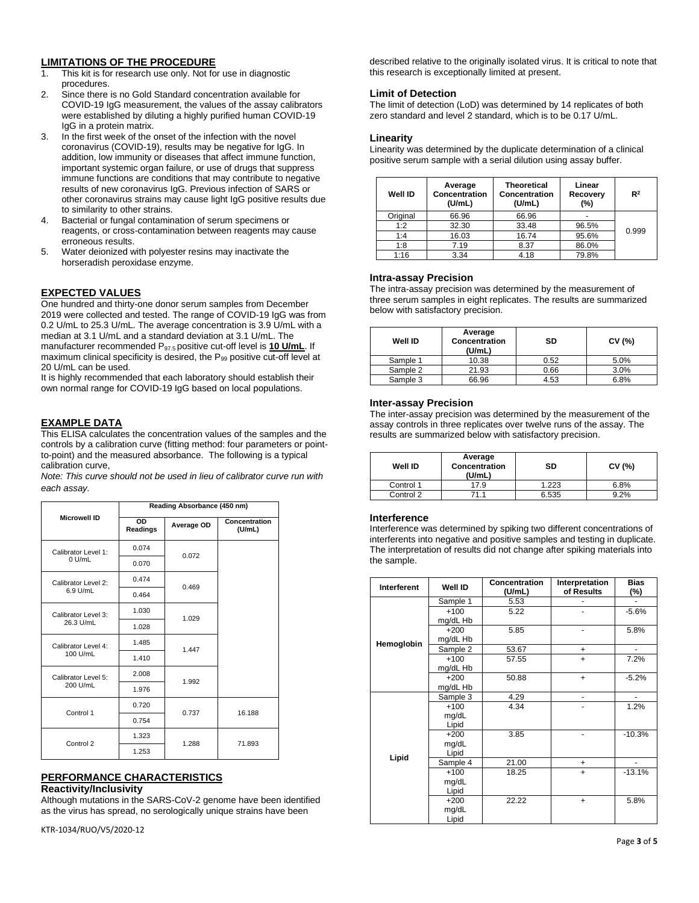## **LIMITATIONS OF THE PROCEDURE**

- 1. This kit is for research use only. Not for use in diagnostic procedures.
- 2. Since there is no Gold Standard concentration available for COVID-19 IgG measurement, the values of the assay calibrators were established by diluting a highly purified human COVID-19 IgG in a protein matrix.
- 3. In the first week of the onset of the infection with the novel coronavirus (COVID-19), results may be negative for IgG. In addition, low immunity or diseases that affect immune function, important systemic organ failure, or use of drugs that suppress immune functions are conditions that may contribute to negative results of new coronavirus IgG. Previous infection of SARS or other coronavirus strains may cause light IgG positive results due to similarity to other strains.
- 4. Bacterial or fungal contamination of serum specimens or reagents, or cross-contamination between reagents may cause erroneous results.
- 5. Water deionized with polyester resins may inactivate the horseradish peroxidase enzyme.

## **EXPECTED VALUES**

One hundred and thirty-one donor serum samples from December 2019 were collected and tested. The range of COVID-19 IgG was from 0.2 U/mL to 25.3 U/mL. The average concentration is 3.9 U/mL with a median at 3.1 U/mL and a standard deviation at 3.1 U/mL. The manufacturer recommended P97.5 positive cut-off level is **10 U/mL**. If maximum clinical specificity is desired, the  $P_{99}$  positive cut-off level at 20 U/mL can be used.

It is highly recommended that each laboratory should establish their own normal range for COVID-19 IgG based on local populations.

# **EXAMPLE DATA**

This ELISA calculates the concentration values of the samples and the controls by a calibration curve (fitting method: four parameters or pointto-point) and the measured absorbance. The following is a typical calibration curve,

*Note: This curve should not be used in lieu of calibrator curve run with each assay.*

|                     | Reading Absorbance (450 nm)                                          |       |        |  |  |
|---------------------|----------------------------------------------------------------------|-------|--------|--|--|
| <b>Microwell ID</b> | $\overline{OD}$<br>Concentration<br>Average OD<br>Readings<br>(U/mL) |       |        |  |  |
| Calibrator Level 1: | 0.074                                                                | 0.072 |        |  |  |
| $0$ U/mL            | 0.070                                                                |       |        |  |  |
| Calibrator Level 2: | 0.474                                                                | 0.469 |        |  |  |
| 6.9 U/mL            | 0.464                                                                |       |        |  |  |
| Calibrator Level 3: | 1.030                                                                |       |        |  |  |
| 26.3 U/mL           | 1.028                                                                | 1.029 |        |  |  |
| Calibrator Level 4: | 1.485                                                                |       |        |  |  |
| 100 U/mL            | 1.410                                                                | 1.447 |        |  |  |
| Calibrator Level 5: | 2.008                                                                |       |        |  |  |
| 200 U/mL            | 1.976                                                                | 1.992 |        |  |  |
| Control 1           | 0.720                                                                |       | 16.188 |  |  |
|                     | 0.754                                                                | 0.737 |        |  |  |
|                     | 1.323                                                                |       |        |  |  |
| Control 2           | 1.253                                                                | 1.288 | 71.893 |  |  |

## **PERFORMANCE CHARACTERISTICS**

## **Reactivity/Inclusivity**

Although mutations in the SARS-CoV-2 genome have been identified as the virus has spread, no serologically unique strains have been

KTR-1034/RUO/V5/2020-12

described relative to the originally isolated virus. It is critical to note that this research is exceptionally limited at present.

## **Limit of Detection**

The limit of detection (LoD) was determined by 14 replicates of both zero standard and level 2 standard, which is to be 0.17 U/mL.

## **Linearity**

Linearity was determined by the duplicate determination of a clinical positive serum sample with a serial dilution using assay buffer.

| <b>Well ID</b> | Average<br>Concentration<br>(U/mL) | <b>Theoretical</b><br><b>Concentration</b><br>(U/mL) | Linear<br>Recovery<br>(%) | R <sup>2</sup> |
|----------------|------------------------------------|------------------------------------------------------|---------------------------|----------------|
| Original       | 66.96                              | 66.96                                                |                           |                |
| 1:2            | 32.30                              | 33.48                                                | 96.5%                     |                |
| 1:4            | 16.03                              | 16.74                                                | 95.6%                     | 0.999          |
| 1:8            | 7.19                               | 8.37                                                 | 86.0%                     |                |
| 1:16           | 3.34                               | 4.18                                                 | 79.8%                     |                |

## **Intra-assay Precision**

The intra-assay precision was determined by the measurement of three serum samples in eight replicates. The results are summarized below with satisfactory precision.

| Well ID  | Average<br>Concentration<br>(U/mL) | SD   | CV (%) |
|----------|------------------------------------|------|--------|
| Sample 1 | 10.38                              | 0.52 | 5.0%   |
| Sample 2 | 21.93                              | 0.66 | 3.0%   |
| Sample 3 | 66.96                              | 4.53 | 6.8%   |

## **Inter-assay Precision**

The inter-assay precision was determined by the measurement of the assay controls in three replicates over twelve runs of the assay. The results are summarized below with satisfactory precision.

| Well ID   | Average<br><b>Concentration</b><br>(U/mL) | SD    | CV (%) |
|-----------|-------------------------------------------|-------|--------|
| Control 1 | 17.9                                      | 1.223 | 6.8%   |
| Control 2 | 71.1                                      | 6.535 | 9.2%   |

## **Interference**

Interference was determined by spiking two different concentrations of interferents into negative and positive samples and testing in duplicate. The interpretation of results did not change after spiking materials into the sample.

| Interferent | Well ID  | Concentration<br>(U/mL) | Interpretation<br>of Results | <b>Bias</b><br>(%)       |
|-------------|----------|-------------------------|------------------------------|--------------------------|
|             | Sample 1 | 5.53                    |                              |                          |
|             | $+100$   | 5.22                    |                              | $-5.6%$                  |
|             | mg/dL Hb |                         |                              |                          |
|             | $+200$   | 5.85                    | ۰                            | 5.8%                     |
| Hemoglobin  | mg/dL Hb |                         |                              |                          |
|             | Sample 2 | 53.67                   | $\ddot{}$                    | $\blacksquare$           |
|             | $+100$   | 57.55                   | $\ddot{}$                    | 7.2%                     |
|             | mg/dL Hb |                         |                              |                          |
|             | $+200$   | 50.88                   | $\ddot{}$                    | $-5.2%$                  |
|             | mg/dL Hb |                         |                              |                          |
|             | Sample 3 | 4.29                    | $\overline{\phantom{m}}$     | $\overline{\phantom{0}}$ |
|             | $+100$   | 4.34                    |                              | 1.2%                     |
|             | mg/dL    |                         |                              |                          |
|             | Lipid    |                         |                              |                          |
|             | $+200$   | 3.85                    |                              | $-10.3%$                 |
|             | mg/dL    |                         |                              |                          |
| Lipid       | Lipid    |                         |                              |                          |
|             | Sample 4 | 21.00                   | +                            | ٠                        |
|             | $+100$   | 18.25                   | $+$                          | $-13.1%$                 |
|             | mg/dL    |                         |                              |                          |
|             | Lipid    |                         |                              |                          |
|             | $+200$   | 22.22                   | $\ddot{}$                    | 5.8%                     |
|             | mg/dL    |                         |                              |                          |
|             | Lipid    |                         |                              |                          |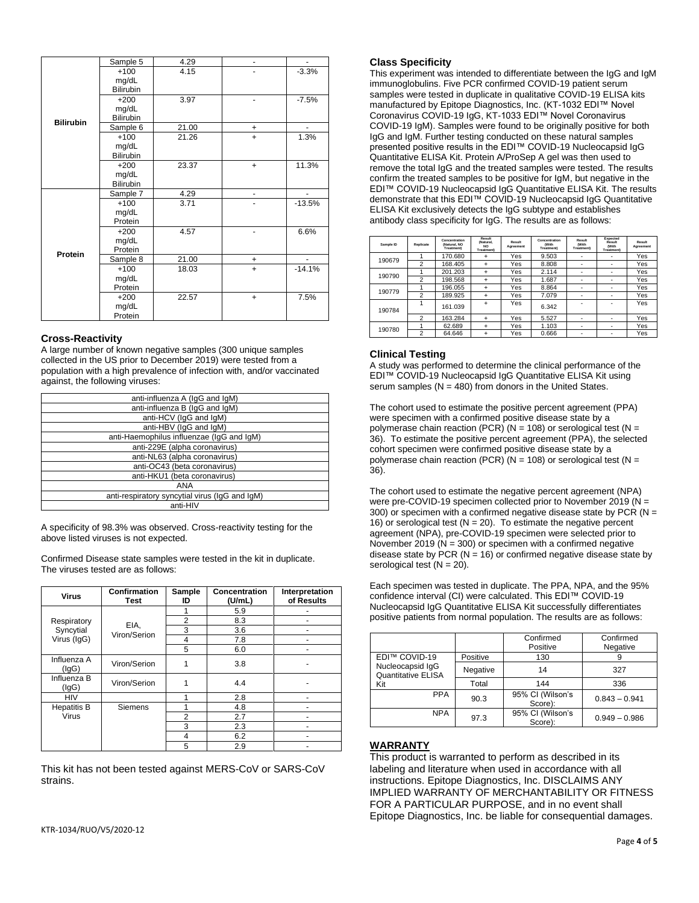|                  | Sample 5  | 4.29  |           |          |
|------------------|-----------|-------|-----------|----------|
|                  | $+100$    | 4.15  |           | $-3.3%$  |
|                  | mg/dL     |       |           |          |
|                  | Bilirubin |       |           |          |
|                  | $+200$    | 3.97  |           | $-7.5%$  |
|                  | mg/dL     |       |           |          |
| <b>Bilirubin</b> | Bilirubin |       |           |          |
|                  | Sample 6  | 21.00 | +         |          |
|                  | $+100$    | 21.26 | $+$       | 1.3%     |
|                  | mg/dL     |       |           |          |
|                  | Bilirubin |       |           |          |
|                  | $+200$    | 23.37 | $+$       | 11.3%    |
|                  | mg/dL     |       |           |          |
|                  | Bilirubin |       |           |          |
|                  | Sample 7  | 4.29  | ۰         | ٠        |
|                  | $+100$    | 3.71  |           | $-13.5%$ |
|                  | mg/dL     |       |           |          |
|                  | Protein   |       |           |          |
|                  | $+200$    | 4.57  |           | 6.6%     |
|                  | mg/dL     |       |           |          |
| Protein          | Protein   |       |           |          |
|                  | Sample 8  | 21.00 | +         |          |
|                  | $+100$    | 18.03 | $\ddot{}$ | $-14.1%$ |
|                  | mg/dL     |       |           |          |
|                  | Protein   |       |           |          |
|                  | $+200$    | 22.57 | $+$       | 7.5%     |
|                  | mg/dL     |       |           |          |
|                  | Protein   |       |           |          |

## **Cross-Reactivity**

A large number of known negative samples (300 unique samples collected in the US prior to December 2019) were tested from a population with a high prevalence of infection with, and/or vaccinated against, the following viruses:

| anti-influenza A (IgG and IgM)                 |
|------------------------------------------------|
| anti-influenza B (IgG and IgM)                 |
| anti-HCV (IqG and IqM)                         |
| anti-HBV (IqG and IqM)                         |
| anti-Haemophilus influenzae (IqG and IqM)      |
| anti-229E (alpha coronavirus)                  |
| anti-NL63 (alpha coronavirus)                  |
| anti-OC43 (beta coronavirus)                   |
| anti-HKU1 (beta coronavirus)                   |
| ANA                                            |
| anti-respiratory syncytial virus (IgG and IgM) |
| anti-HIV                                       |

A specificity of 98.3% was observed. Cross-reactivity testing for the above listed viruses is not expected.

Confirmed Disease state samples were tested in the kit in duplicate. The viruses tested are as follows:

| <b>Virus</b>                            | Confirmation<br><b>Test</b> | Sample<br>ID   | Concentration<br>(U/mL) | Interpretation<br>of Results |
|-----------------------------------------|-----------------------------|----------------|-------------------------|------------------------------|
|                                         |                             |                | 5.9                     |                              |
| Respiratory<br>Syncytial<br>Virus (IgG) | EIA.<br>Viron/Serion        | $\overline{2}$ | 8.3                     |                              |
|                                         |                             | 3              | 3.6                     |                              |
|                                         |                             | 4              | 7.8                     |                              |
|                                         |                             | 5              | 6.0                     |                              |
| Influenza A<br>(lgG)                    | Viron/Serion                | 1              | 3.8                     |                              |
| Influenza B<br>(lgG)                    | Viron/Serion                | 1              | 4.4                     |                              |
| <b>HIV</b>                              |                             | 1              | 2.8                     |                              |
| <b>Hepatitis B</b>                      | Siemens                     | 1              | 4.8                     |                              |
| Virus                                   |                             | $\overline{2}$ | 2.7                     |                              |
|                                         |                             | 3              | 2.3                     | -                            |
|                                         |                             | 4              | 6.2                     |                              |
|                                         |                             | 5              | 2.9                     |                              |

This kit has not been tested against MERS-CoV or SARS-CoV strains.

## **Class Specificity**

This experiment was intended to differentiate between the IgG and IgM immunoglobulins. Five PCR confirmed COVID-19 patient serum samples were tested in duplicate in qualitative COVID-19 ELISA kits manufactured by Epitope Diagnostics, Inc. (KT-1032 EDI™ Novel Coronavirus COVID-19 IgG, KT-1033 EDI™ Novel Coronavirus COVID-19 IgM). Samples were found to be originally positive for both IgG and IgM. Further testing conducted on these natural samples presented positive results in the EDI™ COVID-19 Nucleocapsid IgG Quantitative ELISA Kit. Protein A/ProSep A gel was then used to remove the total IgG and the treated samples were tested. The results confirm the treated samples to be positive for IgM, but negative in the EDI™ COVID-19 Nucleocapsid IgG Quantitative ELISA Kit. The results demonstrate that this EDI™ COVID-19 Nucleocapsid IgG Quantitative ELISA Kit exclusively detects the IgG subtype and establishes antibody class specificity for IgG. The results are as follows:

| Sample ID | Replicate      | Concentration<br>(Natural, NO<br>Treatment | Result<br>(Natural,<br><b>NO</b><br>Treatment) | Result<br>Agreement | Concentration<br>(With<br>Treatment) | Result<br><b>With</b><br>Treatment) | Expected<br>Result<br>(With<br>Treatment | Result<br>Agreement |
|-----------|----------------|--------------------------------------------|------------------------------------------------|---------------------|--------------------------------------|-------------------------------------|------------------------------------------|---------------------|
| 190679    |                | 170.680                                    | $\ddot{}$                                      | Yes                 | 9.503                                | ۰                                   | ۰                                        | Yes                 |
|           | 2              | 168.405                                    | $\ddot{}$                                      | Yes                 | 8.808                                | ۰                                   | ۰                                        | Yes                 |
| 190790    |                | 201.203                                    | $\ddot{}$                                      | Yes                 | 2.114                                | ۰                                   | ۰                                        | Yes                 |
|           | 2              | 198.568                                    | $\ddot{}$                                      | Yes                 | 1.687                                | ۰                                   | ۰                                        | Yes                 |
| 190779    |                | 196.055                                    | $\ddot{}$                                      | Yes                 | 8.864                                | ۰                                   | ۰                                        | Yes                 |
|           | $\overline{2}$ | 189.925                                    | $\ddot{}$                                      | Yes                 | 7.079                                | ۰                                   | ۰                                        | Yes                 |
| 190784    |                | 161.039                                    | $\ddot{}$                                      | Yes                 | 6.342                                | -                                   | ۰                                        | Yes                 |
|           | $\overline{2}$ | 163.284                                    | $\ddot{}$                                      | Yes                 | 5.527                                | ۰                                   | ۰                                        | Yes                 |
| 190780    |                | 62.689                                     | ÷                                              | Yes                 | 1.103                                | ۰                                   | ۰                                        | Yes                 |
|           | $\overline{2}$ | 64.646                                     | $\ddot{}$                                      | Yes                 | 0.666                                | ۰                                   | ۰                                        | Yes                 |

## **Clinical Testing**

A study was performed to determine the clinical performance of the EDI™ COVID-19 Nucleocapsid IgG Quantitative ELISA Kit using serum samples  $(N = 480)$  from donors in the United States.

The cohort used to estimate the positive percent agreement (PPA) were specimen with a confirmed positive disease state by a polymerase chain reaction (PCR) ( $N = 108$ ) or serological test ( $N =$ 36). To estimate the positive percent agreement (PPA), the selected cohort specimen were confirmed positive disease state by a polymerase chain reaction (PCR) ( $N = 108$ ) or serological test ( $N =$ 36).

The cohort used to estimate the negative percent agreement (NPA) were pre-COVID-19 specimen collected prior to November 2019 (N = 300) or specimen with a confirmed negative disease state by PCR ( $N =$ 16) or serological test ( $N = 20$ ). To estimate the negative percent agreement (NPA), pre-COVID-19 specimen were selected prior to November 2019 ( $N = 300$ ) or specimen with a confirmed negative disease state by PCR ( $N = 16$ ) or confirmed negative disease state by serological test  $(N = 20)$ .

Each specimen was tested in duplicate. The PPA, NPA, and the 95% confidence interval (CI) were calculated. This EDI™ COVID-19 Nucleocapsid IgG Quantitative ELISA Kit successfully differentiates positive patients from normal population. The results are as follows:

|                                               |          | Confirmed<br>Positive       | Confirmed<br>Negative |
|-----------------------------------------------|----------|-----------------------------|-----------------------|
| EDI™ COVID-19                                 | Positive | 130                         |                       |
| Nucleocapsid IqG<br><b>Quantitative ELISA</b> | Negative | 14                          | 327                   |
| Kit                                           | Total    | 144                         | 336                   |
| <b>PPA</b>                                    | 90.3     | 95% CI (Wilson's<br>Score): | $0.843 - 0.941$       |
| <b>NPA</b>                                    | 97.3     | 95% CI (Wilson's<br>Score): | $0.949 - 0.986$       |

## **WARRANTY**

This product is warranted to perform as described in its labeling and literature when used in accordance with all instructions. Epitope Diagnostics, Inc. DISCLAIMS ANY IMPLIED WARRANTY OF MERCHANTABILITY OR FITNESS FOR A PARTICULAR PURPOSE, and in no event shall Epitope Diagnostics, Inc. be liable for consequential damages.